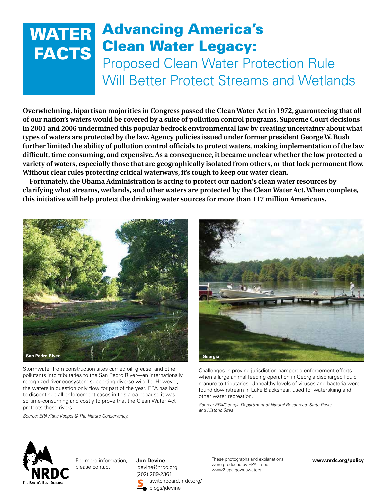## **WATER FACTS** Advancing America's Clean Water Legacy: Proposed Clean Water Protection Rule Will Better Protect Streams and Wetlands

**Overwhelming, bipartisan majorities in Congress passed the Clean Water Act in 1972, guaranteeing that all of our nation's waters would be covered by a suite of pollution control programs. Supreme Court decisions in 2001 and 2006 undermined this popular bedrock environmental law by creating uncertainty about what types of waters are protected by the law. Agency policies issued under former president George W. Bush further limited the ability of pollution control officials to protect waters, making implementation of the law difficult, time consuming, and expensive. As a consequence, it became unclear whether the law protected a variety of waters, especially those that are geographically isolated from others, or that lack permanent flow. Without clear rules protecting critical waterways, it's tough to keep our water clean.**

**Fortunately, the Obama Administration is acting to protect our nation's clean water resources by clarifying what streams, wetlands, and other waters are protected by the Clean Water Act. When complete, this initiative will help protect the drinking water sources for more than 117 million Americans.**



Stormwater from construction sites carried oil, grease, and other pollutants into tributaries to the San Pedro River—an internationally recognized river ecosystem supporting diverse wildlife. However, the waters in question only flow for part of the year. EPA has had to discontinue all enforcement cases in this area because it was so time-consuming and costly to prove that the Clean Water Act protects these rivers.

*Source: EPA /Tana Kappel © The Nature Conservancy.*



Challenges in proving jurisdiction hampered enforcement efforts when a large animal feeding operation in Georgia discharged liquid manure to tributaries. Unhealthy levels of viruses and bacteria were found downstream in Lake Blackshear, used for waterskiing and other water recreation.

*Source: EPA/Georgia Department of Natural Resources, State Parks and Historic Sites*



For more information, please contact:

**Jon Devine** jdevine@nrdc.org (202) 289-2361 switchboard.nrdc.org/ blogs/jdevine

These photographs and explanations were produced by EPA – see: www2.epa.gov/uswaters.

**www.nrdc.org/policy**